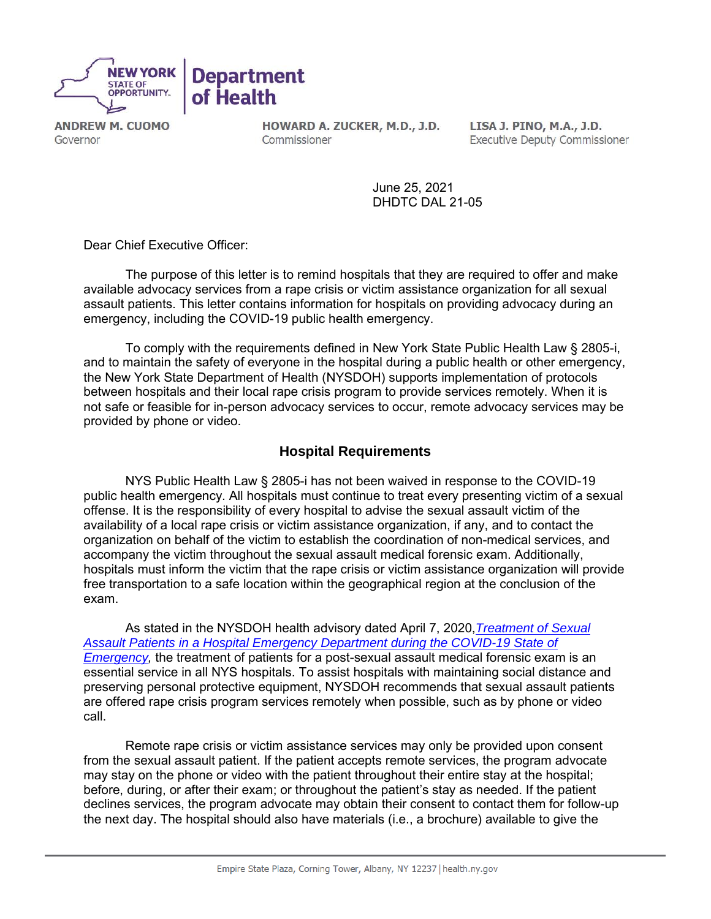

**ANDREW M. CUOMO** Governor

HOWARD A. ZUCKER, M.D., J.D. Commissioner

LISA J. PINO, M.A., J.D. **Executive Deputy Commissioner** 

June 25, 2021 DHDTC DAL 21-05

Dear Chief Executive Officer:

The purpose of this letter is to remind hospitals that they are required to offer and make available advocacy services from a rape crisis or victim assistance organization for all sexual assault patients. This letter contains information for hospitals on providing advocacy during an emergency, including the COVID-19 public health emergency.

To comply with the requirements defined in New York State Public Health Law § 2805-i, and to maintain the safety of everyone in the hospital during a public health or other emergency, the New York State Department of Health (NYSDOH) supports implementation of protocols between hospitals and their local rape crisis program to provide services remotely. When it is not safe or feasible for in-person advocacy services to occur, remote advocacy services may be provided by phone or video.

### **Hospital Requirements**

NYS Public Health Law § 2805-i has not been waived in response to the COVID-19 public health emergency. All hospitals must continue to treat every presenting victim of a sexual offense. It is the responsibility of every hospital to advise the sexual assault victim of the availability of a local rape crisis or victim assistance organization, if any, and to contact the organization on behalf of the victim to establish the coordination of non-medical services, and accompany the victim throughout the sexual assault medical forensic exam. Additionally, hospitals must inform the victim that the rape crisis or victim assistance organization will provide free transportation to a safe location within the geographical region at the conclusion of the exam.

As stated in the NYSDOH health advisory dated April 7, 2020,*[Treatment of Sexual](https://coronavirus.health.ny.gov/system/files/documents/2020/04/doh_covid19_treatmentofsexualassaultpatients_040720.pdf)  [Assault Patients in a Hospital Emergency Department during the COVID-19 State of](https://coronavirus.health.ny.gov/system/files/documents/2020/04/doh_covid19_treatmentofsexualassaultpatients_040720.pdf)  Emergency*, the treatment of patients for a post-sexual assault medical forensic exam is an essential service in all NYS hospitals. To assist hospitals with maintaining social distance and preserving personal protective equipment, NYSDOH recommends that sexual assault patients are offered rape crisis program services remotely when possible, such as by phone or video call.

Remote rape crisis or victim assistance services may only be provided upon consent from the sexual assault patient. If the patient accepts remote services, the program advocate may stay on the phone or video with the patient throughout their entire stay at the hospital; before, during, or after their exam; or throughout the patient's stay as needed. If the patient declines services, the program advocate may obtain their consent to contact them for follow-up the next day. The hospital should also have materials (i.e., a brochure) available to give the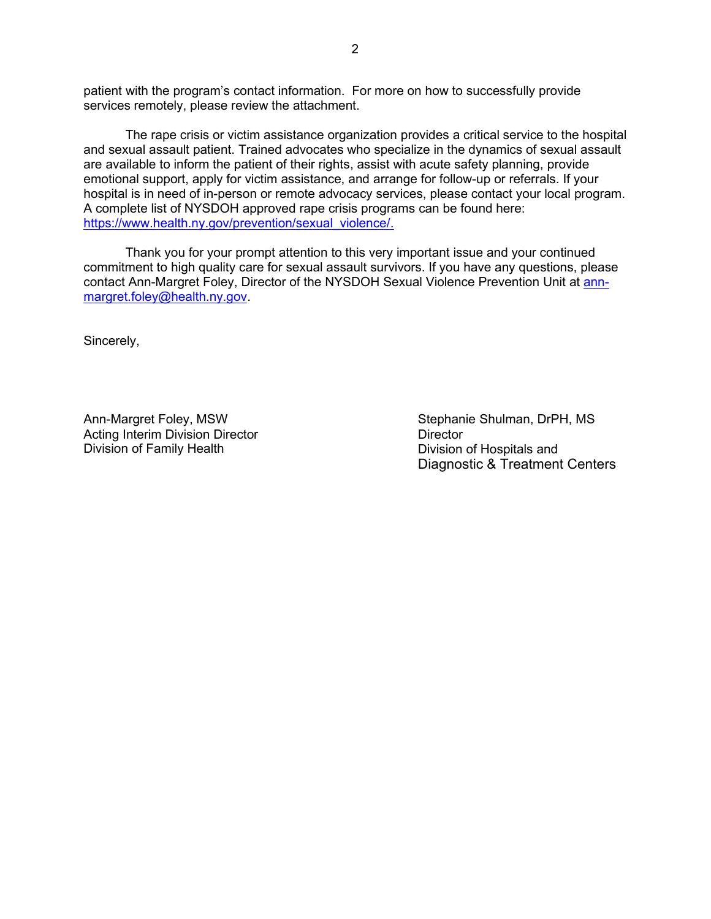patient with the program's contact information. For more on how to successfully provide services remotely, please review the attachment.

The rape crisis or victim assistance organization provides a critical service to the hospital and sexual assault patient. Trained advocates who specialize in the dynamics of sexual assault are available to inform the patient of their rights, assist with acute safety planning, provide emotional support, apply for victim assistance, and arrange for follow-up or referrals. If your hospital is in need of in-person or remote advocacy services, please contact your local program. A complete list of NYSDOH approved rape crisis programs can be found here: [https://www.health.ny.gov/prevention/sexual\\_violence/.](https://www.health.ny.gov/prevention/sexual_violence/)

Thank you for your prompt attention to this very important issue and your continued commitment to high quality care for sexual assault survivors. If you have any questions, please contact Ann-Margret Foley, Director of the NYSDOH Sexual Violence Prevention Unit at [ann](mailto:ann-margret.foley@health.ny.gov)[margret.foley@health.ny.gov.](mailto:ann-margret.foley@health.ny.gov)

Sincerely,

Ann-Margret Foley, MSW Acting Interim Division Director Division of Family Health

Stephanie Shulman, DrPH, MS **Director** Division of Hospitals and Diagnostic & Treatment Centers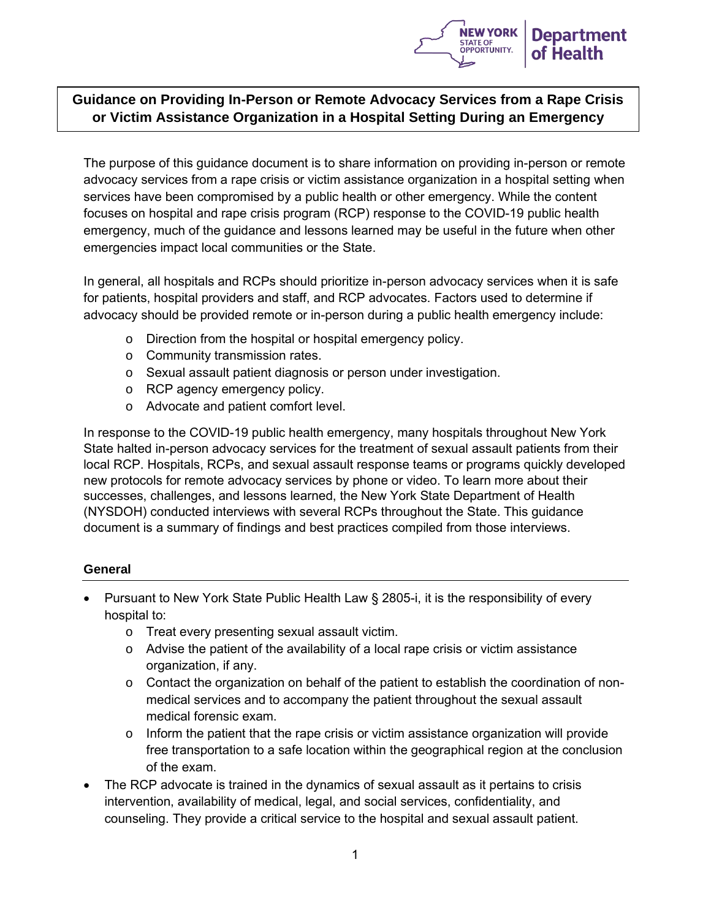

# **Guidance on Providing In-Person or Remote Advocacy Services from a Rape Crisis or Victim Assistance Organization in a Hospital Setting During an Emergency**

The purpose of this guidance document is to share information on providing in-person or remote advocacy services from a rape crisis or victim assistance organization in a hospital setting when services have been compromised by a public health or other emergency. While the content focuses on hospital and rape crisis program (RCP) response to the COVID-19 public health emergency, much of the guidance and lessons learned may be useful in the future when other emergencies impact local communities or the State.

In general, all hospitals and RCPs should prioritize in-person advocacy services when it is safe for patients, hospital providers and staff, and RCP advocates. Factors used to determine if advocacy should be provided remote or in-person during a public health emergency include:

- o Direction from the hospital or hospital emergency policy.
- o Community transmission rates.
- o Sexual assault patient diagnosis or person under investigation.
- o RCP agency emergency policy.
- o Advocate and patient comfort level.

In response to the COVID-19 public health emergency, many hospitals throughout New York State halted in-person advocacy services for the treatment of sexual assault patients from their local RCP. Hospitals, RCPs, and sexual assault response teams or programs quickly developed new protocols for remote advocacy services by phone or video. To learn more about their successes, challenges, and lessons learned, the New York State Department of Health (NYSDOH) conducted interviews with several RCPs throughout the State. This guidance document is a summary of findings and best practices compiled from those interviews.

#### **General**

- Pursuant to New York State Public Health Law § 2805-i, it is the responsibility of every hospital to:
	- o Treat every presenting sexual assault victim.
	- $\circ$  Advise the patient of the availability of a local rape crisis or victim assistance organization, if any.
	- o Contact the organization on behalf of the patient to establish the coordination of nonmedical services and to accompany the patient throughout the sexual assault medical forensic exam.
	- o Inform the patient that the rape crisis or victim assistance organization will provide free transportation to a safe location within the geographical region at the conclusion of the exam.
- The RCP advocate is trained in the dynamics of sexual assault as it pertains to crisis intervention, availability of medical, legal, and social services, confidentiality, and counseling. They provide a critical service to the hospital and sexual assault patient.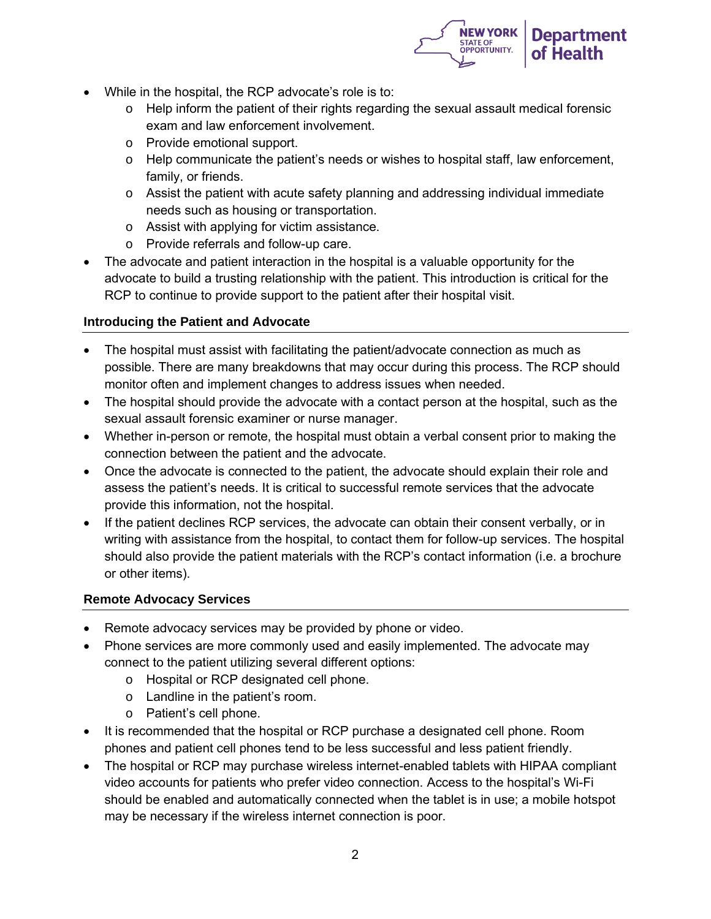

- While in the hospital, the RCP advocate's role is to:
	- $\circ$  Help inform the patient of their rights regarding the sexual assault medical forensic exam and law enforcement involvement.
	- o Provide emotional support.
	- o Help communicate the patient's needs or wishes to hospital staff, law enforcement, family, or friends.
	- $\circ$  Assist the patient with acute safety planning and addressing individual immediate needs such as housing or transportation.
	- o Assist with applying for victim assistance.
	- o Provide referrals and follow-up care.
- The advocate and patient interaction in the hospital is a valuable opportunity for the advocate to build a trusting relationship with the patient. This introduction is critical for the RCP to continue to provide support to the patient after their hospital visit.

#### **Introducing the Patient and Advocate**

- The hospital must assist with facilitating the patient/advocate connection as much as possible. There are many breakdowns that may occur during this process. The RCP should monitor often and implement changes to address issues when needed.
- The hospital should provide the advocate with a contact person at the hospital, such as the sexual assault forensic examiner or nurse manager.
- Whether in-person or remote, the hospital must obtain a verbal consent prior to making the connection between the patient and the advocate.
- Once the advocate is connected to the patient, the advocate should explain their role and assess the patient's needs. It is critical to successful remote services that the advocate provide this information, not the hospital.
- If the patient declines RCP services, the advocate can obtain their consent verbally, or in writing with assistance from the hospital, to contact them for follow-up services. The hospital should also provide the patient materials with the RCP's contact information (i.e. a brochure or other items).

#### **Remote Advocacy Services**

- Remote advocacy services may be provided by phone or video.
- Phone services are more commonly used and easily implemented. The advocate may connect to the patient utilizing several different options:
	- o Hospital or RCP designated cell phone.
	- o Landline in the patient's room.
	- o Patient's cell phone.
- It is recommended that the hospital or RCP purchase a designated cell phone. Room phones and patient cell phones tend to be less successful and less patient friendly.
- The hospital or RCP may purchase wireless internet-enabled tablets with HIPAA compliant video accounts for patients who prefer video connection. Access to the hospital's Wi-Fi should be enabled and automatically connected when the tablet is in use; a mobile hotspot may be necessary if the wireless internet connection is poor.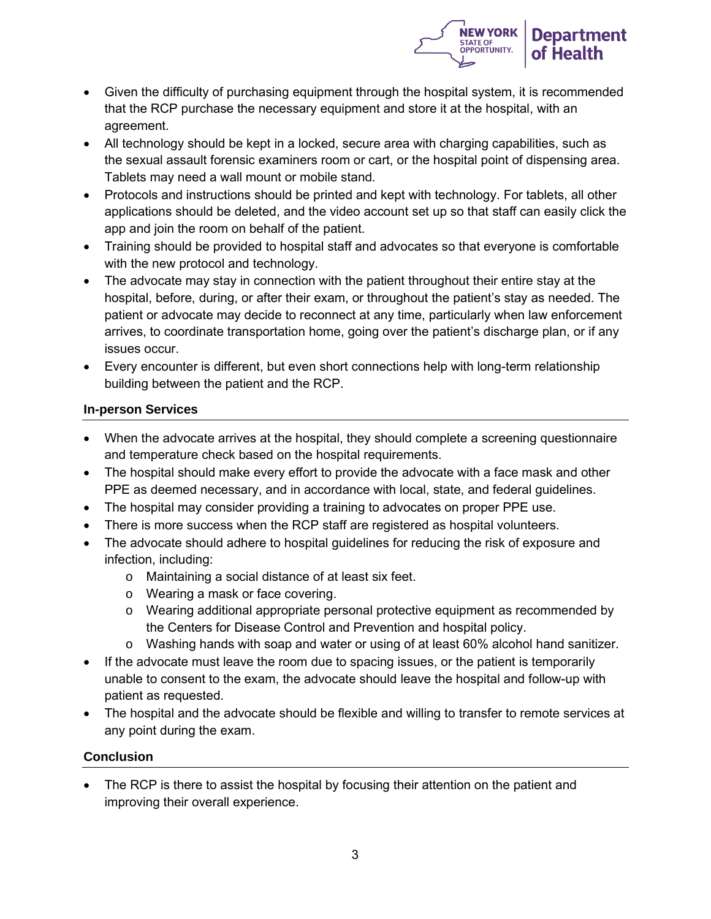

- Given the difficulty of purchasing equipment through the hospital system, it is recommended that the RCP purchase the necessary equipment and store it at the hospital, with an agreement.
- All technology should be kept in a locked, secure area with charging capabilities, such as the sexual assault forensic examiners room or cart, or the hospital point of dispensing area. Tablets may need a wall mount or mobile stand.
- Protocols and instructions should be printed and kept with technology. For tablets, all other applications should be deleted, and the video account set up so that staff can easily click the app and join the room on behalf of the patient.
- Training should be provided to hospital staff and advocates so that everyone is comfortable with the new protocol and technology.
- The advocate may stay in connection with the patient throughout their entire stay at the hospital, before, during, or after their exam, or throughout the patient's stay as needed. The patient or advocate may decide to reconnect at any time, particularly when law enforcement arrives, to coordinate transportation home, going over the patient's discharge plan, or if any issues occur.
- Every encounter is different, but even short connections help with long-term relationship building between the patient and the RCP.

## **In-person Services**

- When the advocate arrives at the hospital, they should complete a screening questionnaire and temperature check based on the hospital requirements.
- The hospital should make every effort to provide the advocate with a face mask and other PPE as deemed necessary, and in accordance with local, state, and federal guidelines.
- The hospital may consider providing a training to advocates on proper PPE use.
- There is more success when the RCP staff are registered as hospital volunteers.
- The advocate should adhere to hospital guidelines for reducing the risk of exposure and infection, including:
	- o Maintaining a social distance of at least six feet.
	- o Wearing a mask or face covering.
	- o Wearing additional appropriate personal protective equipment as recommended by the Centers for Disease Control and Prevention and hospital policy.
	- o Washing hands with soap and water or using of at least 60% alcohol hand sanitizer.
- If the advocate must leave the room due to spacing issues, or the patient is temporarily unable to consent to the exam, the advocate should leave the hospital and follow-up with patient as requested.
- The hospital and the advocate should be flexible and willing to transfer to remote services at any point during the exam.

## **Conclusion**

• The RCP is there to assist the hospital by focusing their attention on the patient and improving their overall experience.